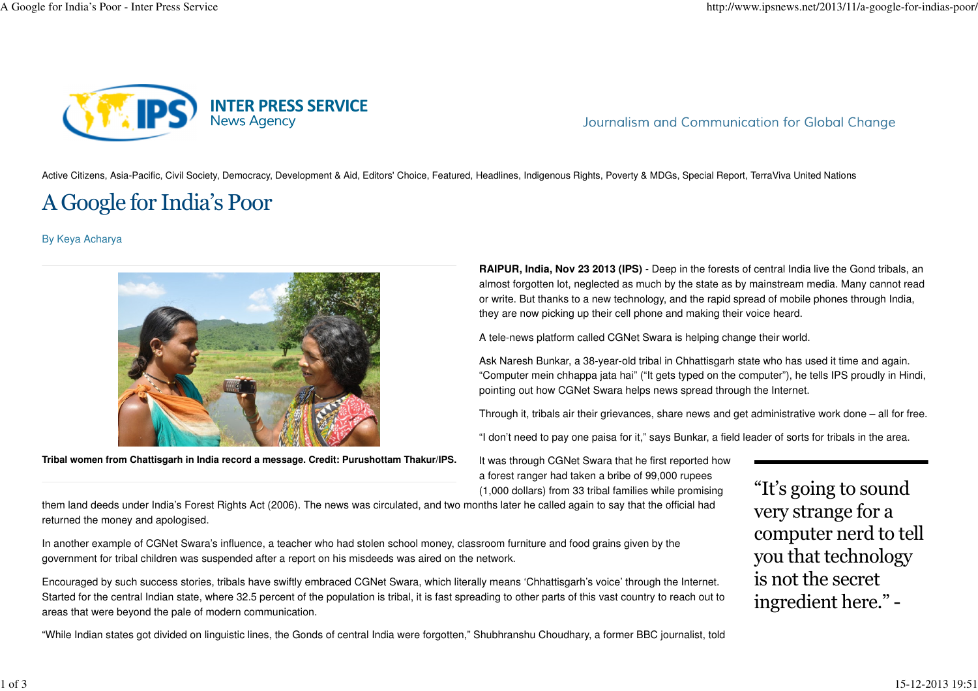

Journalism and Communication for Global Change

Active Citizens, Asia-Pacific, Civil Society, Democracy, Development & Aid, Editors' Choice, Featured, Headlines, Indigenous Rights, Poverty & MDGs, Special Report, TerraViva United Nations

## A Google for India's Poor

By Keya Acharya



**Tribal women from Chattisgarh in India record a message. Credit: Purushottam Thakur/IPS.**

**RAIPUR, India, Nov 23 2013 (IPS)** - Deep in the forests of central India live the Gond tribals, an almost forgotten lot, neglected as much by the state as by mainstream media. Many cannot reador write. But thanks to a new technology, and the rapid spread of mobile phones through India,they are now picking up their cell phone and making their voice heard.

A tele-news platform called CGNet Swara is helping change their world.

Ask Naresh Bunkar, a 38-year-old tribal in Chhattisgarh state who has used it time and again."Computer mein chhappa jata hai" ("It gets typed on the computer"), he tells IPS proudly in Hindi,pointing out how CGNet Swara helps news spread through the Internet.

Through it, tribals air their grievances, share news and get administrative work done – all for free.

"I don't need to pay one paisa for it," says Bunkar, a field leader of sorts for tribals in the area.

It was through CGNet Swara that he first reported howa forest ranger had taken a bribe of 99,000 rupees(1,000 dollars) from 33 tribal families while promising

 them land deeds under India's Forest Rights Act (2006). The news was circulated, and two months later he called again to say that the official hadreturned the money and apologised.

In another example of CGNet Swara's influence, a teacher who had stolen school money, classroom furniture and food grains given by thegovernment for tribal children was suspended after a report on his misdeeds was aired on the network.

Encouraged by such success stories, tribals have swiftly embraced CGNet Swara, which literally means 'Chhattisgarh's voice' through the Internet.Started for the central Indian state, where 32.5 percent of the population is tribal, it is fast spreading to other parts of this vast country to reach out toareas that were beyond the pale of modern communication.

"While Indian states got divided on linguistic lines, the Gonds of central India were forgotten," Shubhranshu Choudhary, a former BBC journalist, told

"It's going to soundvery strange for a computer nerd to tellyou that technologyis not the secretingredient here." -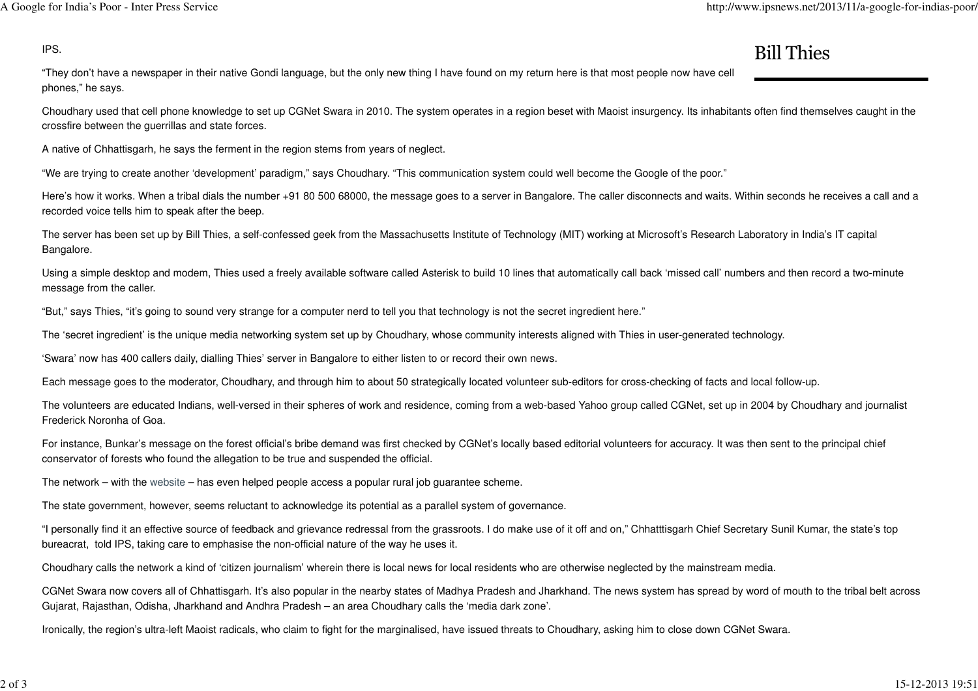## Bill Thies

**IPS. Bill Thie** "They don't have a newspaper in their native Gondi language, but the only new thing I have found on my return here is that most people now have cellphones," he says.

Choudhary used that cell phone knowledge to set up CGNet Swara in 2010. The system operates in a region beset with Maoist insurgency. Its inhabitants often find themselves caught in thecrossfire between the guerrillas and state forces.

A native of Chhattisgarh, he says the ferment in the region stems from years of neglect.

"We are trying to create another 'development' paradigm," says Choudhary. "This communication system could well become the Google of the poor."

Here's how it works. When a tribal dials the number +91 80 500 68000, the message goes to a server in Bangalore. The caller disconnects and waits. Within seconds he receives a call and a recorded voice tells him to speak after the beep.

The server has been set up by Bill Thies, a self-confessed geek from the Massachusetts Institute of Technology (MIT) working at Microsoft's Research Laboratory in India's IT capitalBangalore.

Using a simple desktop and modem, Thies used a freely available software called Asterisk to build 10 lines that automatically call back 'missed call' numbers and then record a two-minutemessage from the caller.

"But," says Thies, "it's going to sound very strange for a computer nerd to tell you that technology is not the secret ingredient here."

The 'secret ingredient' is the unique media networking system set up by Choudhary, whose community interests aligned with Thies in user-generated technology.

'Swara' now has 400 callers daily, dialling Thies' server in Bangalore to either listen to or record their own news.

Each message goes to the moderator, Choudhary, and through him to about 50 strategically located volunteer sub-editors for cross-checking of facts and local follow-up.

The volunteers are educated Indians, well-versed in their spheres of work and residence, coming from a web-based Yahoo group called CGNet, set up in 2004 by Choudhary and journalistFrederick Noronha of Goa.

For instance, Bunkar's message on the forest official's bribe demand was first checked by CGNet's locally based editorial volunteers for accuracy. It was then sent to the principal chiefconservator of forests who found the allegation to be true and suspended the official.

The network – with the website – has even helped people access a popular rural job guarantee scheme.

The state government, however, seems reluctant to acknowledge its potential as a parallel system of governance.

"I personally find it an effective source of feedback and grievance redressal from the grassroots. I do make use of it off and on," Chhatttisgarh Chief Secretary Sunil Kumar, the state's topbureacrat, told IPS, taking care to emphasise the non-official nature of the way he uses it.

Choudhary calls the network a kind of 'citizen journalism' wherein there is local news for local residents who are otherwise neglected by the mainstream media.

CGNet Swara now covers all of Chhattisgarh. It's also popular in the nearby states of Madhya Pradesh and Jharkhand. The news system has spread by word of mouth to the tribal belt acrossGujarat, Rajasthan, Odisha, Jharkhand and Andhra Pradesh – an area Choudhary calls the 'media dark zone'.

Ironically, the region's ultra-left Maoist radicals, who claim to fight for the marginalised, have issued threats to Choudhary, asking him to close down CGNet Swara.